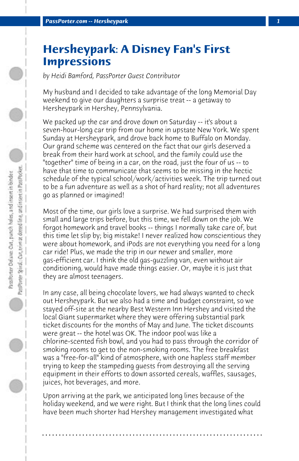## **Hersheypark: A Disney Fan's First Impressions**

*by Heidi Bamford, PassPorter Guest Contributor*

My husband and I decided to take advantage of the long Memorial Day weekend to give our daughters a surprise treat -- a getaway to Hersheypark in Hershey, Pennsylvania.

We packed up the car and drove down on Saturday -- it's about a seven-hour-long car trip from our home in upstate New York. We spent Sunday at Hersheypark, and drove back home to Buffalo on Monday. Our grand scheme was centered on the fact that our girls deserved a break from their hard work at school, and the family could use the "together" time of being in a car, on the road, just the four of us -- to have that time to communicate that seems to be missing in the hectic schedule of the typical school/work/activities week. The trip turned out to be a fun adventure as well as a shot of hard reality; not all adventures go as planned or imagined!

Most of the time, our girls love a surprise. We had surprised them with small and large trips before, but this time, we fell down on the job. We forgot homework and travel books -- things I normally take care of, but this time let slip by; big mistake! I never realized how conscientious they were about homework, and iPods are not everything you need for a long car ride! Plus, we made the trip in our newer and smaller, more gas-efficient car. I think the old gas-guzzling van, even without air conditioning, would have made things easier. Or, maybe it is just that they are almost teenagers.

In any case, all being chocolate lovers, we had always wanted to check out Hersheypark. But we also had a time and budget constraint, so we stayed off-site at the nearby Best Western Inn Hershey and visited the local Giant supermarket where they were offering substantial park ticket discounts for the months of May and June. The ticket discounts were great -- the hotel was OK. The indoor pool was like a chlorine-scented fish bowl, and you had to pass through the corridor of smoking rooms to get to the non-smoking rooms. The free breakfast was a "free-for-all" kind of atmosphere, with one hapless staff member trying to keep the stampeding guests from destroying all the serving equipment in their efforts to down assorted cereals, waffles, sausages, juices, hot beverages, and more.

Upon arriving at the park, we anticipated long lines because of the holiday weekend, and we were right. But I think that the long lines could have been much shorter had Hershey management investigated what

**. . . . . . . . . . . . . . . . . . . . . . . . . . . . . . . . . . . . . . . . . . . . . . . . . . . . . . . . . . . . . . . . . .**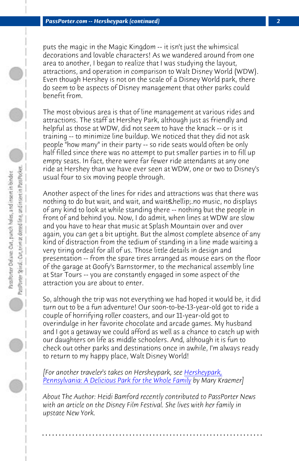*PassPorter.com -- Hersheypark (continued) 2*

puts the magic in the Magic Kingdom -- it isn't just the whimsical decorations and lovable characters! As we wandered around from one area to another, I began to realize that I was studying the layout, attractions, and operation in comparison to Walt Disney World (WDW). Even though Hershey is not on the scale of a Disney World park, there do seem to be aspects of Disney management that other parks could benefit from.

The most obvious area is that of line management at various rides and attractions. The staff at Hershey Park, although just as friendly and helpful as those at WDW, did not seem to have the knack -- or is it training -- to minimize line buildup. We noticed that they did not ask people "how many" in their party -- so ride seats would often be only half filled since there was no attempt to put smaller parties in to fill up empty seats. In fact, there were far fewer ride attendants at any one ride at Hershey than we have ever seen at WDW, one or two to Disney's usual four to six moving people through.

Another aspect of the lines for rides and attractions was that there was nothing to do but wait, and wait, and wait & hellip; no music, no displays of any kind to look at while standing there -- nothing but the people in front of and behind you. Now, I do admit, when lines at WDW are slow and you have to hear that music at Splash Mountain over and over again, you can get a bit uptight. But the almost [complete ab](http://www.passporter.com/articles/hersheypark-pennsylvania-review.php)sence of any [kind of distraction from the tedium of standing in](http://www.passporter.com/articles/hersheypark-pennsylvania-review.php) a line made waiting a very tiring ordeal for all of us. Those little details in design and presentation -- from the spare tires arranged as mouse ears on the floor of the garage at Goofy's Barnstormer, to the mechanical assembly line at Star Tours -- you are constantly engaged in some aspect of the attraction you are about to enter.

So, although the trip was not everything we had hoped it would be, it did turn out to be a fun adventure! Our soon-to-be-13-year-old got to ride a couple of horrifying roller coasters, and our 11-year-old got to overindulge in her favorite chocolate and arcade games. My husband and I got a getaway we could afford as well as a chance to catch up with our daughters on life as middle schoolers. And, although it is fun to check out other parks and destinations once in awhile, I'm always ready to return to my happy place, Walt Disney World!

*[For another traveler's takes on Hersheypark, see Hersheypark, Pennsylvania: A Delicious Park for the Whole Family by Mary Kraemer]*

*About The Author: Heidi Bamford recently contributed to PassPorter News with an article on the Disney Film Festival. She lives with her family in upstate New York.*

**. . . . . . . . . . . . . . . . . . . . . . . . . . . . . . . . . . . . . . . . . . . . . . . . . . . . . . . . . . . . . . . . . .**